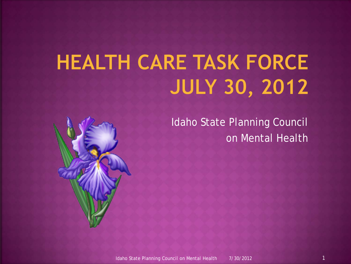# **HEALTH CARE TASK FORCE JULY 30, 2012**

Idaho State Planning Council on Mental Health

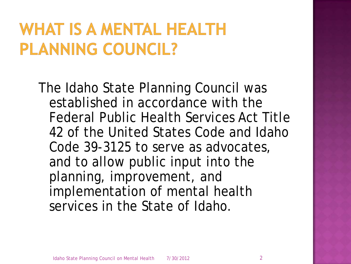### **WHAT IS A MENTAL HEALTH** PLANNING COUNCIL?

The Idaho State Planning Council was established in accordance with the Federal Public Health Services Act Title 42 of the United States Code and Idaho Code 39-3125 to serve as advocates, and to allow public input into the planning, improvement, and implementation of mental health services in the State of Idaho.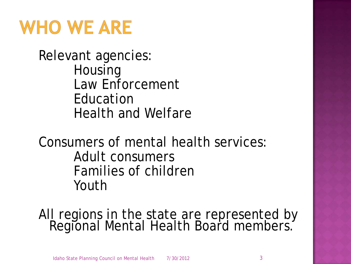### **WHO WE ARE**

Relevant agencies: Housing Law Enforcement Education Health and Welfare

Consumers of mental health services: Adult consumers Families of children Youth

All regions in the state are represented by Regional Mental Health Board members.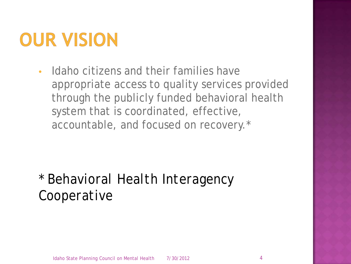## OUR VISION

• Idaho citizens and their families have appropriate access to quality services provided through the publicly funded behavioral health system that is coordinated, effective, accountable, and focused on recovery.\*

#### *\* Behavioral Health Interagency Cooperative*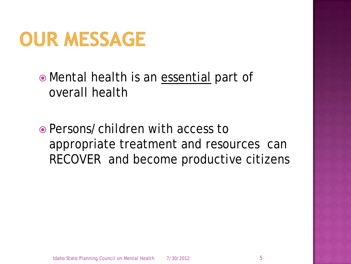

 Mental health is an essential part of overall health

 Persons/children with access to appropriate treatment and resources can RECOVER and become productive citizens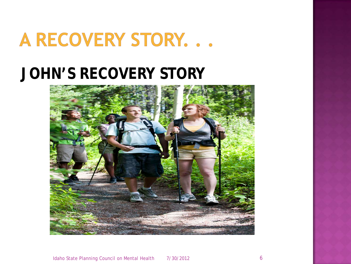### A RECOVERY STORY...

#### **JOHN'S RECOVERY STORY**

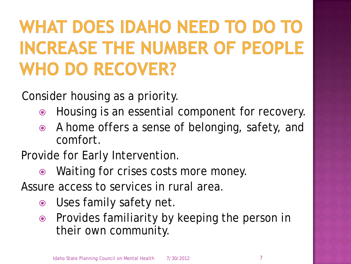# WHAT DOES IDAHO NEED TO DO **INCREASE THE NUMBER OF PEOPLE WHO DO RECOVER?**

Consider housing as a priority.

- Housing is an essential component for recovery.
- A home offers a sense of belonging, safety, and comfort.
- Provide for Early Intervention.
	- Waiting for crises costs more money.

Assure access to services in rural area.

- Uses family safety net.
- Provides familiarity by keeping the person in their own community.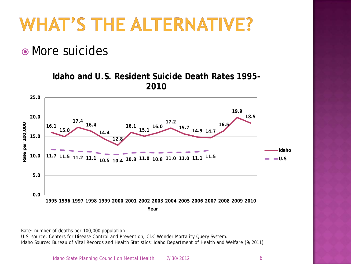

• More suicides

**Idaho and U.S. Resident Suicide Death Rates 1995- 2010**



Rate: number of deaths per 100,000 population

U.S. source: Centers for Disease Control and Prevention, CDC Wonder Mortality Query System. Idaho Source: Bureau of Vital Records and Health Statistics; Idaho Department of Health and Welfare (9/2011)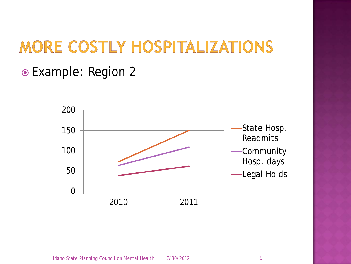### MORE COSTLY HOSPITALIZATIONS

#### Example: Region 2

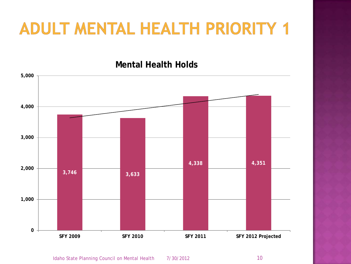#### **Mental Health Holds**

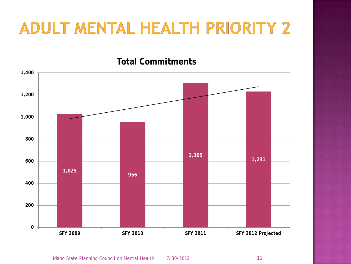#### **Total Commitments**

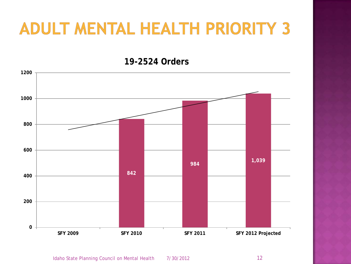**19-2524 Orders**

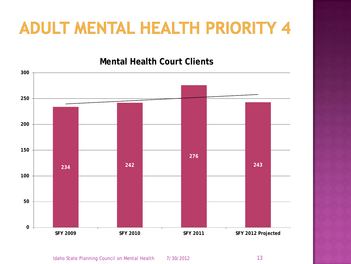#### **Mental Health Court Clients**

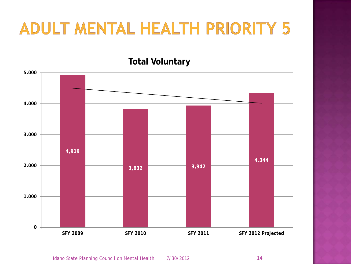#### **Total Voluntary**

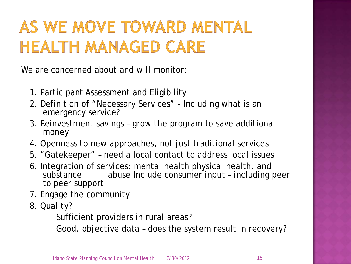### AS WE MOVE TOWARD MENTAL **HEALTH MANAGED CARE**

We are concerned about and will monitor:

- 1. Participant Assessment and Eligibility
- 2. Definition of "Necessary Services" Including what is an emergency service?
- 3. Reinvestment savings grow the program to save additional money
- 4. Openness to new approaches, not just traditional services
- 5. "Gatekeeper" need a local contact to address local issues
- 6. Integration of services: mental health physical health, and substance abuse Include consumer input – including peer to peer support
- 7. Engage the community
- 8. Quality?

Sufficient providers in rural areas?

Good, objective data – does the system result in recovery?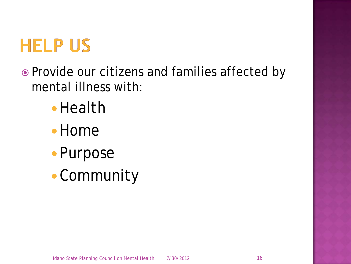

- Provide our citizens and families affected by mental illness with:
	- Health
	- Home
	- Purpose
	- Community